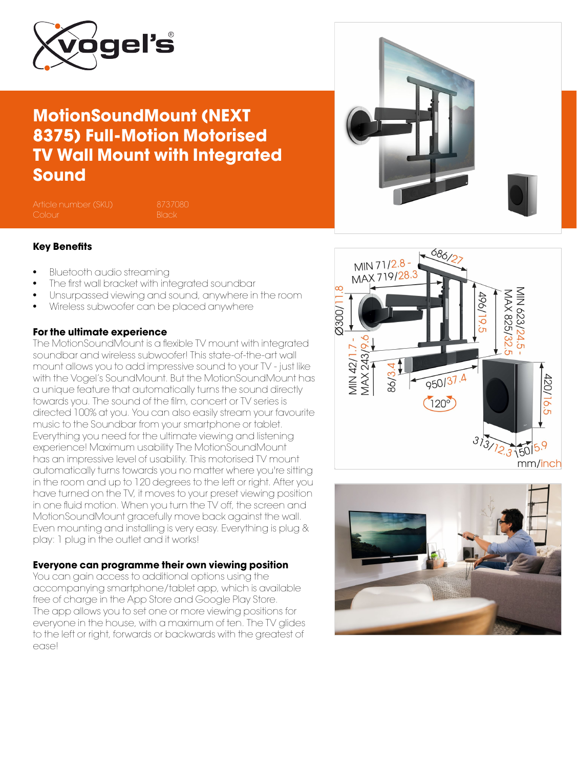

### MotionSoundMount (NEXT 8375) Full-Motion Motorised TV Wall Mount with Integrated Sound

Article number (SKU) 8737080



- Bluetooth audio streaming
- The first wall bracket with integrated soundbar
- Unsurpassed viewing and sound, anywhere in the room
- Wireless subwoofer can be placed anywhere

#### For the ultimate experience

The MotionSoundMount is a flexible TV mount with integrated soundbar and wireless subwoofer! This state-of-the-art wall mount allows you to add impressive sound to your TV - just like with the Vogel's SoundMount. But the MotionSoundMount has a unique feature that automatically turns the sound directly towards you. The sound of the film, concert or TV series is directed 100% at you. You can also easily stream your favourite music to the Soundbar from your smartphone or tablet. Everything you need for the ultimate viewing and listening experience! Maximum usability The MotionSoundMount has an impressive level of usability. This motorised TV mount automatically turns towards you no matter where you're sitting in the room and up to 120 degrees to the left or right. After you have turned on the TV, it moves to your preset viewing position in one fluid motion. When you turn the TV off, the screen and MotionSoundMount gracefully move back against the wall. Even mounting and installing is very easy. Everything is plug & play: 1 plug in the outlet and it works!

#### Everyone can programme their own viewing position

You can gain access to additional options using the accompanying smartphone/tablet app, which is available free of charge in the App Store and Google Play Store. The app allows you to set one or more viewing positions for everyone in the house, with a maximum of ten. The TV glides to the left or right, forwards or backwards with the greatest of ease!



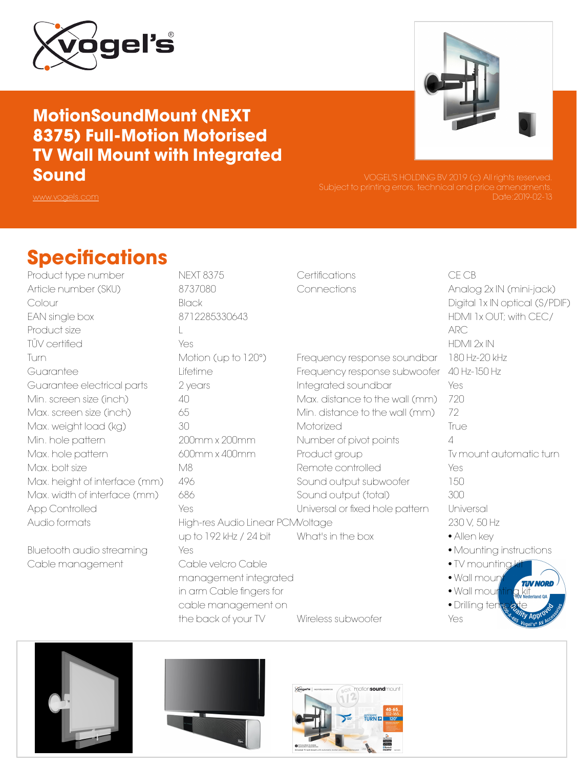

### MotionSoundMount (NEXT 8375) Full-Motion Motorised TV Wall Mount with Integrated Sound



Date:2019-02-13

## **Specifications**

Product type number NEXT 8375 Article number (SKU) 8737080 Colour Black EAN single box 8712285330643 Product size L TÜV certified Yes Turn Motion (up to 120°) Guarantee Lifetime Guarantee electrical parts 2 years Min. screen size (inch) 40 Max. screen size (inch) 65 Max. weight load (kg) 30 Min. hole pattern 200mm x 200mm Max. hole pattern 600mm x 400mm Max. bolt size M8 Max. height of interface (mm) 496 Max. width of interface (mm) 686 App Controlled Yes Audio formats **High-res Audio Linear PCM/oltage** 

Bluetooth audio streaming Yes Cable management Cable velcro Cable

up to 192 kHz / 24 bit management integrated in arm Cable fingers for cable management on

Certifications CE CB

Frequency response soundbar 180 Hz-20 kHz Frequency response subwoofer 40 Hz-150 Hz Integrated soundbar Yes Max. distance to the wall (mm) 720 Min. distance to the wall (mm) 72 Motorized True Number of pivot points 4 Product group Tv mount automatic turn Remote controlled The Yes Sound output subwoofer 150 Sound output (total) 300 Universal or fixed hole pattern Universal What's in the box • Allen key

Connections Analog 2x IN (mini-jack) Digital 1x IN optical (S/PDIF) HDMI 1x OUT; with CEC/ ARC HDMI 2x IN 230 V, 50 Hz • Mounting instructions • TV mounting  $\bullet$  Wall mour **TAV NORI** 

- Wall mour
- Drilling ter Wireless subwoofer Yes





the back of your TV